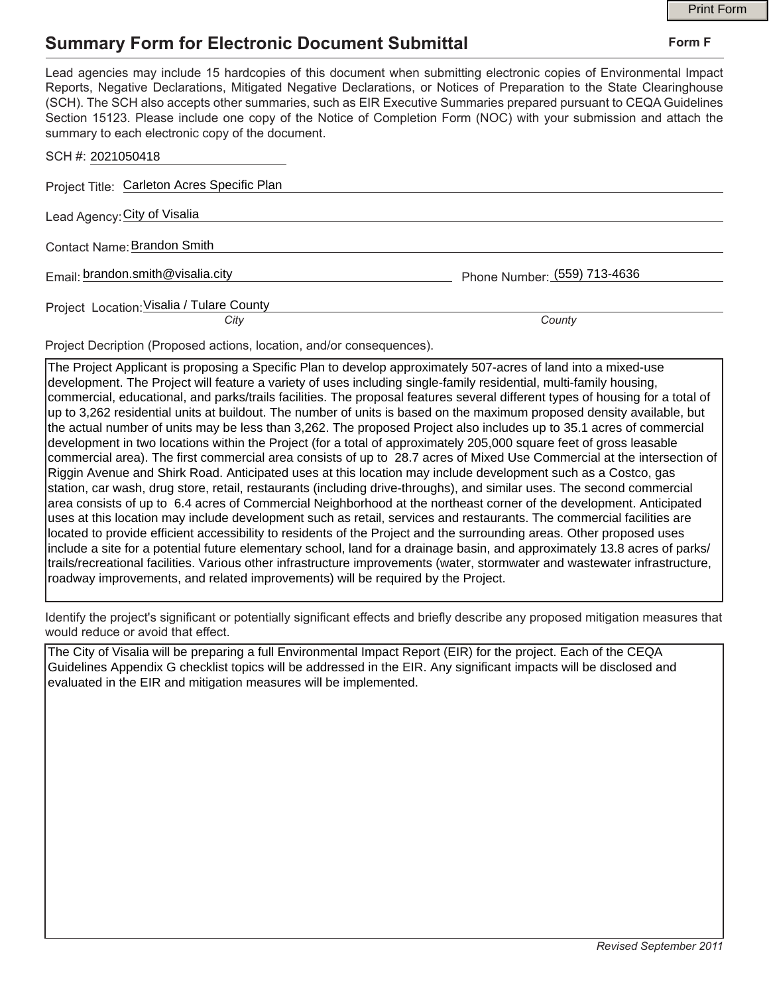## **Summary Form for Electronic Document Submittal**

|                                                                                                                                                                                                                                                                                                                                                                                                                                                                                                                                           |                              | <b>Print Form</b> |
|-------------------------------------------------------------------------------------------------------------------------------------------------------------------------------------------------------------------------------------------------------------------------------------------------------------------------------------------------------------------------------------------------------------------------------------------------------------------------------------------------------------------------------------------|------------------------------|-------------------|
| <b>Summary Form for Electronic Document Submittal</b>                                                                                                                                                                                                                                                                                                                                                                                                                                                                                     | Form F                       |                   |
| Lead agencies may include 15 hardcopies of this document when submitting electronic copies of Environmental Impact<br>Reports, Negative Declarations, Mitigated Negative Declarations, or Notices of Preparation to the State Clearinghouse<br>(SCH). The SCH also accepts other summaries, such as EIR Executive Summaries prepared pursuant to CEQA Guidelines<br>Section 15123. Please include one copy of the Notice of Completion Form (NOC) with your submission and attach the<br>summary to each electronic copy of the document. |                              |                   |
| SCH #: 2021050418                                                                                                                                                                                                                                                                                                                                                                                                                                                                                                                         |                              |                   |
| Project Title: Carleton Acres Specific Plan                                                                                                                                                                                                                                                                                                                                                                                                                                                                                               |                              |                   |
| Lead Agency: City of Visalia                                                                                                                                                                                                                                                                                                                                                                                                                                                                                                              |                              |                   |
| Contact Name: Brandon Smith                                                                                                                                                                                                                                                                                                                                                                                                                                                                                                               |                              |                   |
| Email: brandon.smith@visalia.city                                                                                                                                                                                                                                                                                                                                                                                                                                                                                                         | Phone Number: (559) 713-4636 |                   |
| Project Location: Visalia / Tulare County                                                                                                                                                                                                                                                                                                                                                                                                                                                                                                 |                              |                   |
| City                                                                                                                                                                                                                                                                                                                                                                                                                                                                                                                                      | County                       |                   |

Project Decription (Proposed actions, location, and/or consequences).

The Project Applicant is proposing a Specific Plan to develop approximately 507-acres of land into a mixed-use development. The Project will feature a variety of uses including single-family residential, multi-family housing, commercial, educational, and parks/trails facilities. The proposal features several different types of housing for a total of up to 3,262 residential units at buildout. The number of units is based on the maximum proposed density available, but the actual number of units may be less than 3,262. The proposed Project also includes up to 35.1 acres of commercial development in two locations within the Project (for a total of approximately 205,000 square feet of gross leasable commercial area). The first commercial area consists of up to 28.7 acres of Mixed Use Commercial at the intersection of Riggin Avenue and Shirk Road. Anticipated uses at this location may include development such as a Costco, gas station, car wash, drug store, retail, restaurants (including drive-throughs), and similar uses. The second commercial area consists of up to 6.4 acres of Commercial Neighborhood at the northeast corner of the development. Anticipated uses at this location may include development such as retail, services and restaurants. The commercial facilities are located to provide efficient accessibility to residents of the Project and the surrounding areas. Other proposed uses include a site for a potential future elementary school, land for a drainage basin, and approximately 13.8 acres of parks/ trails/recreational facilities. Various other infrastructure improvements (water, stormwater and wastewater infrastructure, roadway improvements, and related improvements) will be required by the Project.

Identify the project's significant or potentially significant effects and briefly describe any proposed mitigation measures that would reduce or avoid that effect.

The City of Visalia will be preparing a full Environmental Impact Report (EIR) for the project. Each of the CEQA Guidelines Appendix G checklist topics will be addressed in the EIR. Any significant impacts will be disclosed and evaluated in the EIR and mitigation measures will be implemented.